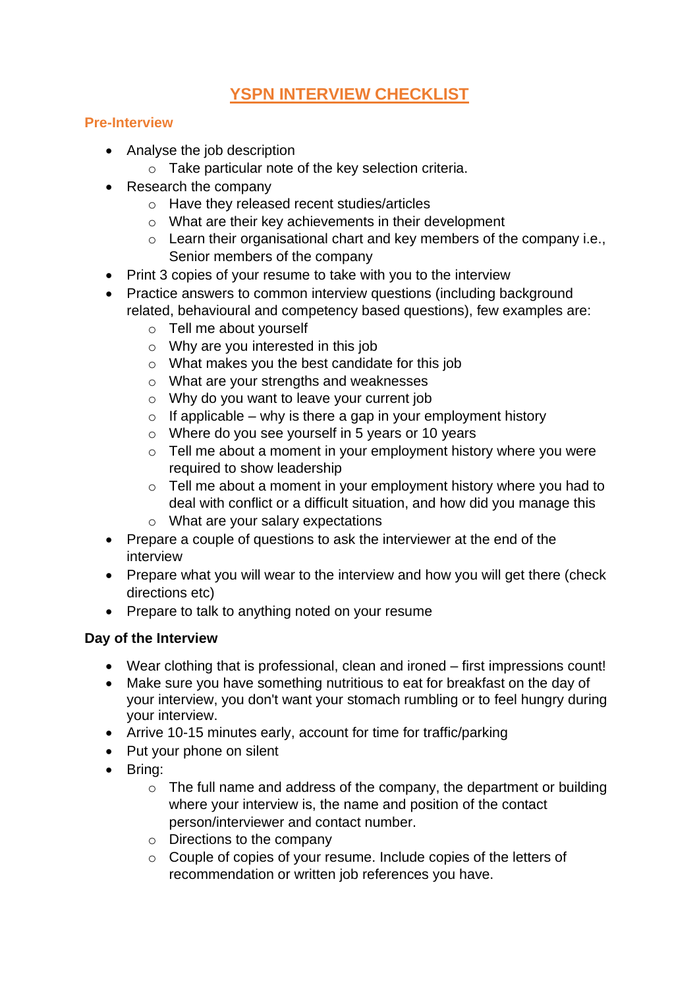# **YSPN INTERVIEW CHECKLIST**

### **Pre-Interview**

- Analyse the job description
	- o Take particular note of the key selection criteria.
- Research the company
	- o Have they released recent studies/articles
	- o What are their key achievements in their development
	- o Learn their organisational chart and key members of the company i.e., Senior members of the company
- Print 3 copies of your resume to take with you to the interview
- Practice answers to common interview questions (including background related, behavioural and competency based questions), few examples are:
	- o Tell me about yourself
	- o Why are you interested in this job
	- o What makes you the best candidate for this job
	- o What are your strengths and weaknesses
	- o Why do you want to leave your current job
	- $\circ$  If applicable why is there a gap in your employment history
	- o Where do you see yourself in 5 years or 10 years
	- $\circ$  Tell me about a moment in your employment history where you were required to show leadership
	- o Tell me about a moment in your employment history where you had to deal with conflict or a difficult situation, and how did you manage this
	- o What are your salary expectations
- Prepare a couple of questions to ask the interviewer at the end of the interview
- Prepare what you will wear to the interview and how you will get there (check directions etc)
- Prepare to talk to anything noted on your resume

#### **Day of the Interview**

- Wear clothing that is professional, clean and ironed first impressions count!
- Make sure you have something nutritious to eat for breakfast on the day of your interview, you don't want your stomach rumbling or to feel hungry during your interview.
- Arrive 10-15 minutes early, account for time for traffic/parking
- Put your phone on silent
- Bring:
	- $\circ$  The full name and address of the company, the department or building where your interview is, the name and position of the contact person/interviewer and contact number.
	- $\circ$  Directions to the company
	- o Couple of copies of your resume. Include copies of the letters of recommendation or written job references you have.